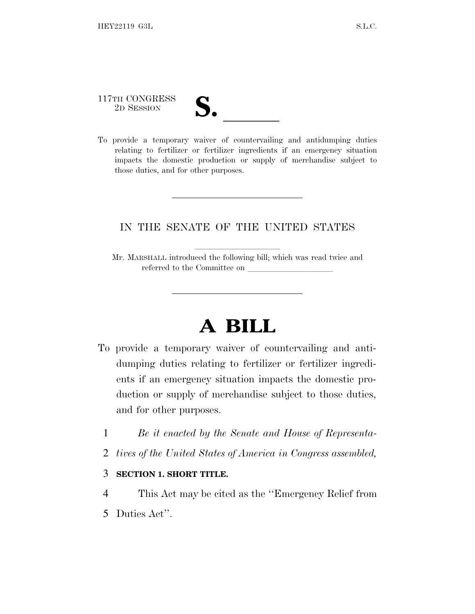## 117TH CONGRESS

117TH CONGRESS<br>
2D SESSION<br>
To provide a temporary waiver of countervailing and antidumping duties relating to fertilizer or fertilizer ingredients if an emergency situation impacts the domestic production or supply of merchandise subject to those duties, and for other purposes.

## IN THE SENATE OF THE UNITED STATES

Mr. MARSHALL introduced the following bill; which was read twice and referred to the Committee on

## **A BILL**

- To provide a temporary waiver of countervailing and antidumping duties relating to fertilizer or fertilizer ingredients if an emergency situation impacts the domestic production or supply of merchandise subject to those duties, and for other purposes.
	- 1 *Be it enacted by the Senate and House of Representa-*
	- 2 *tives of the United States of America in Congress assembled,*

## 3 **SECTION 1. SHORT TITLE.**

4 This Act may be cited as the ''Emergency Relief from 5 Duties Act''.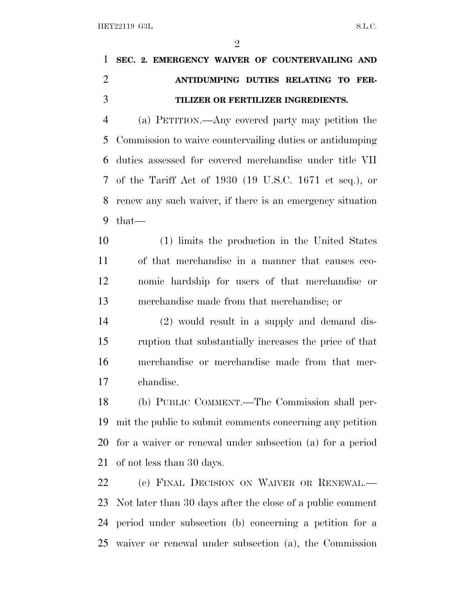|  | 1 SEC. 2. EMERGENCY WAIVER OF COUNTERVAILING AND |  |  |  |  |
|--|--------------------------------------------------|--|--|--|--|
|  | ANTIDUMPING DUTIES RELATING TO FER-              |  |  |  |  |
|  | TILIZER OR FERTILIZER INGREDIENTS.               |  |  |  |  |

 (a) PETITION.—Any covered party may petition the Commission to waive countervailing duties or antidumping duties assessed for covered merchandise under title VII of the Tariff Act of 1930 (19 U.S.C. 1671 et seq.), or renew any such waiver, if there is an emergency situation that—

 (1) limits the production in the United States of that merchandise in a manner that causes eco- nomic hardship for users of that merchandise or merchandise made from that merchandise; or

 (2) would result in a supply and demand dis- ruption that substantially increases the price of that merchandise or merchandise made from that mer-chandise.

 (b) PUBLIC COMMENT.—The Commission shall per- mit the public to submit comments concerning any petition for a waiver or renewal under subsection (a) for a period of not less than 30 days.

22 (c) FINAL DECISION ON WAIVER OR RENEWAL. Not later than 30 days after the close of a public comment period under subsection (b) concerning a petition for a waiver or renewal under subsection (a), the Commission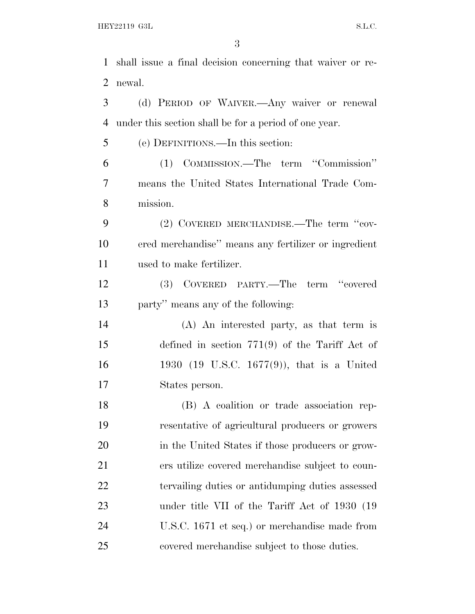shall issue a final decision concerning that waiver or re- newal. (d) PERIOD OF WAIVER.—Any waiver or renewal under this section shall be for a period of one year. (e) DEFINITIONS.—In this section: (1) COMMISSION.—The term ''Commission'' means the United States International Trade Com- mission. 9 (2) COVERED MERCHANDISE.—The term "cov- ered merchandise'' means any fertilizer or ingredient used to make fertilizer. (3) COVERED PARTY.—The term ''covered party'' means any of the following: (A) An interested party, as that term is defined in section 771(9) of the Tariff Act of 1930 (19 U.S.C. 1677(9)), that is a United States person.

 (B) A coalition or trade association rep- resentative of agricultural producers or growers in the United States if those producers or grow- ers utilize covered merchandise subject to coun- tervailing duties or antidumping duties assessed under title VII of the Tariff Act of 1930 (19 U.S.C. 1671 et seq.) or merchandise made from covered merchandise subject to those duties.